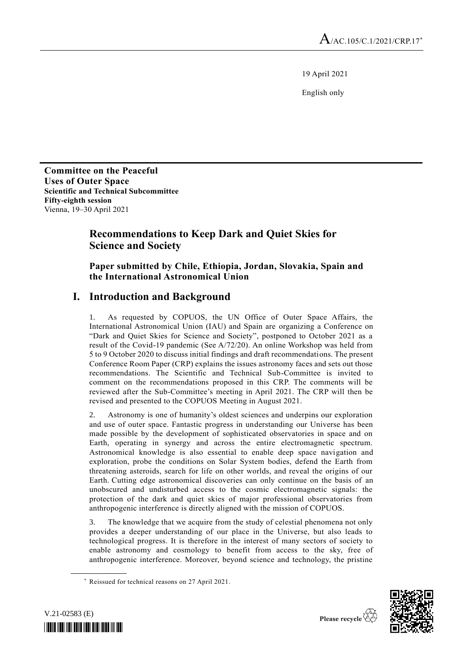19 April 2021

English only

**Committee on the Peaceful Uses of Outer Space Scientific and Technical Subcommittee**\* **Fifty-eighth session** Vienna, 19–30 April 2021

# **Recommendations to Keep Dark and Quiet Skies for Science and Society**

## **Paper submitted by Chile, Ethiopia, Jordan, Slovakia, Spain and the International Astronomical Union**

# **I. Introduction and Background**

1. As requested by COPUOS, the UN Office of Outer Space Affairs, the International Astronomical Union (IAU) and Spain are organizing a Conference on "Dark and Quiet Skies for Science and Society", postponed to October 2021 as a result of the Covid-19 pandemic (See A/72/20). An online Workshop was held from 5 to 9 October 2020 to discuss initial findings and draft recommendations. The present Conference Room Paper (CRP) explains the issues astronomy faces and sets out those recommendations. The Scientific and Technical Sub-Committee is invited to comment on the recommendations proposed in this CRP. The comments will be reviewed after the Sub-Committee's meeting in April 2021. The CRP will then be revised and presented to the COPUOS Meeting in August 2021.

2. Astronomy is one of humanity's oldest sciences and underpins our exploration and use of outer space. Fantastic progress in understanding our Universe has been made possible by the development of sophisticated observatories in space and on Earth, operating in synergy and across the entire electromagnetic spectrum. Astronomical knowledge is also essential to enable deep space navigation and exploration, probe the conditions on Solar System bodies, defend the Earth from threatening asteroids, search for life on other worlds, and reveal the origins of our Earth. Cutting edge astronomical discoveries can only continue on the basis of an unobscured and undisturbed access to the cosmic electromagnetic signals: the protection of the dark and quiet skies of major professional observatories from anthropogenic interference is directly aligned with the mission of COPUOS.

The knowledge that we acquire from the study of celestial phenomena not only provides a deeper understanding of our place in the Universe, but also leads to technological progress. It is therefore in the interest of many sectors of society to enable astronomy and cosmology to benefit from access to the sky, free of anthropogenic interference. Moreover, beyond science and technology, the pristine

<sup>\*</sup> Reissued for technical reasons on 27 April 2021.



**\_\_\_\_\_\_\_\_\_\_\_\_\_\_\_\_\_\_**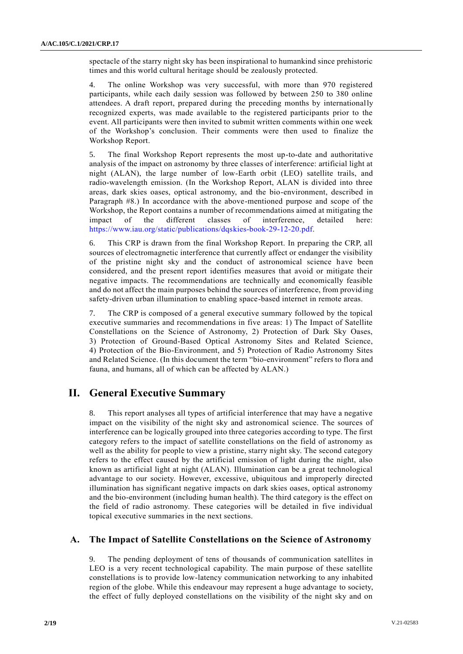spectacle of the starry night sky has been inspirational to humankind since prehistoric times and this world cultural heritage should be zealously protected.

4. The online Workshop was very successful, with more than 970 registered participants, while each daily session was followed by between 250 to 380 online attendees. A draft report, prepared during the preceding months by internationally recognized experts, was made available to the registered participants prior to the event. All participants were then invited to submit written comments within one week of the Workshop's conclusion. Their comments were then used to finalize the Workshop Report.

5. The final Workshop Report represents the most up-to-date and authoritative analysis of the impact on astronomy by three classes of interference: artificial light at night (ALAN), the large number of low-Earth orbit (LEO) satellite trails, and radio-wavelength emission. (In the Workshop Report, ALAN is divided into three areas, dark skies oases, optical astronomy, and the bio-environment, described in Paragraph #8.) In accordance with the above-mentioned purpose and scope of the Workshop, the Report contains a number of recommendations aimed at mitigating the impact of the different classes of interference, detailed here: [https://www.iau.org/static/publications/dqskies-book-29-12-20.pdf.](https://www.iau.org/static/publications/dqskies-book-29-12-20.pdf)

6. This CRP is drawn from the final Workshop Report. In preparing the CRP, all sources of electromagnetic interference that currently affect or endanger the visibility of the pristine night sky and the conduct of astronomical science have been considered, and the present report identifies measures that avoid or mitigate their negative impacts. The recommendations are technically and economically feasible and do not affect the main purposes behind the sources of interference, from providing safety-driven urban illumination to enabling space-based internet in remote areas.

7. The CRP is composed of a general executive summary followed by the topical executive summaries and recommendations in five areas: 1) The Impact of Satellite Constellations on the Science of Astronomy, 2) Protection of Dark Sky Oases, 3) Protection of Ground-Based Optical Astronomy Sites and Related Science, 4) Protection of the Bio-Environment, and 5) Protection of Radio Astronomy Sites and Related Science. (In this document the term "bio-environment" refers to flora and fauna, and humans, all of which can be affected by ALAN.)

# **II. General Executive Summary**

This report analyses all types of artificial interference that may have a negative impact on the visibility of the night sky and astronomical science. The sources of interference can be logically grouped into three categories according to type. The first category refers to the impact of satellite constellations on the field of astronomy as well as the ability for people to view a pristine, starry night sky. The second category refers to the effect caused by the artificial emission of light during the night, also known as artificial light at night (ALAN). Illumination can be a great technological advantage to our society. However, excessive, ubiquitous and improperly directed illumination has significant negative impacts on dark skies oases, optical astronomy and the bio-environment (including human health). The third category is the effect on the field of radio astronomy. These categories will be detailed in five individual topical executive summaries in the next sections.

## **A. The Impact of Satellite Constellations on the Science of Astronomy**

9. The pending deployment of tens of thousands of communication satellites in LEO is a very recent technological capability. The main purpose of these satellite constellations is to provide low-latency communication networking to any inhabited region of the globe. While this endeavour may represent a huge advantage to society, the effect of fully deployed constellations on the visibility of the night sky and on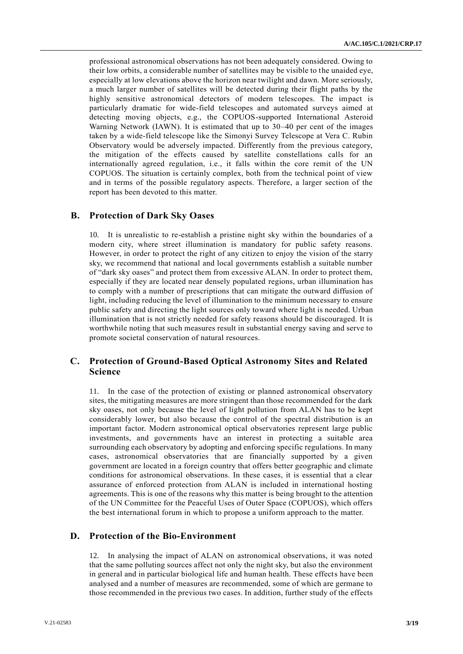professional astronomical observations has not been adequately considered. Owing to their low orbits, a considerable number of satellites may be visible to the unaided eye, especially at low elevations above the horizon near twilight and dawn. More seriously, a much larger number of satellites will be detected during their flight paths by the highly sensitive astronomical detectors of modern telescopes. The impact is particularly dramatic for wide-field telescopes and automated surveys aimed at detecting moving objects, e.g., the COPUOS-supported International Asteroid Warning Network (IAWN). It is estimated that up to 30–40 per cent of the images taken by a wide-field telescope like the Simonyi Survey Telescope at Vera C. Rubin Observatory would be adversely impacted. Differently from the previous category, the mitigation of the effects caused by satellite constellations calls for an internationally agreed regulation, i.e., it falls within the core remit of the UN COPUOS. The situation is certainly complex, both from the technical point of view and in terms of the possible regulatory aspects. Therefore, a larger section of the report has been devoted to this matter.

#### **B. Protection of Dark Sky Oases**

10. It is unrealistic to re-establish a pristine night sky within the boundaries of a modern city, where street illumination is mandatory for public safety reasons. However, in order to protect the right of any citizen to enjoy the vision of the starry sky, we recommend that national and local governments establish a suitable number of "dark sky oases" and protect them from excessive ALAN. In order to protect them, especially if they are located near densely populated regions, urban illumination has to comply with a number of prescriptions that can mitigate the outward diffusion of light, including reducing the level of illumination to the minimum necessary to ensure public safety and directing the light sources only toward where light is needed. Urban illumination that is not strictly needed for safety reasons should be discouraged. It is worthwhile noting that such measures result in substantial energy saving and serve to promote societal conservation of natural resources.

## **C. Protection of Ground-Based Optical Astronomy Sites and Related Science**

11. In the case of the protection of existing or planned astronomical observatory sites, the mitigating measures are more stringent than those recommended for the dark sky oases, not only because the level of light pollution from ALAN has to be kept considerably lower, but also because the control of the spectral distribution is an important factor. Modern astronomical optical observatories represent large public investments, and governments have an interest in protecting a suitable area surrounding each observatory by adopting and enforcing specific regulations. In many cases, astronomical observatories that are financially supported by a given government are located in a foreign country that offers better geographic and climate conditions for astronomical observations. In these cases, it is essential that a clear assurance of enforced protection from ALAN is included in international hosting agreements. This is one of the reasons why this matter is being brought to the attention of the UN Committee for the Peaceful Uses of Outer Space (COPUOS), which offers the best international forum in which to propose a uniform approach to the matter.

#### **D. Protection of the Bio-Environment**

12. In analysing the impact of ALAN on astronomical observations, it was noted that the same polluting sources affect not only the night sky, but also the environment in general and in particular biological life and human health. These effects have been analysed and a number of measures are recommended, some of which are germane to those recommended in the previous two cases. In addition, further study of the effects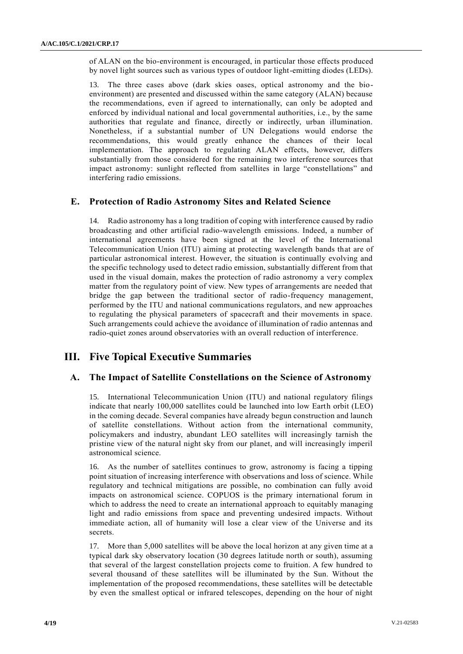of ALAN on the bio-environment is encouraged, in particular those effects produced by novel light sources such as various types of outdoor light-emitting diodes (LEDs).

13. The three cases above (dark skies oases, optical astronomy and the bioenvironment) are presented and discussed within the same category (ALAN) because the recommendations, even if agreed to internationally, can only be adopted and enforced by individual national and local governmental authorities, i.e., by the same authorities that regulate and finance, directly or indirectly, urban illumination. Nonetheless, if a substantial number of UN Delegations would endorse the recommendations, this would greatly enhance the chances of their local implementation. The approach to regulating ALAN effects, however, differs substantially from those considered for the remaining two interference sources that impact astronomy: sunlight reflected from satellites in large "constellations" and interfering radio emissions.

### **E. Protection of Radio Astronomy Sites and Related Science**

14. Radio astronomy has a long tradition of coping with interference caused by radio broadcasting and other artificial radio-wavelength emissions. Indeed, a number of international agreements have been signed at the level of the International Telecommunication Union (ITU) aiming at protecting wavelength bands that are of particular astronomical interest. However, the situation is continually evolving and the specific technology used to detect radio emission, substantially different from that used in the visual domain, makes the protection of radio astronomy a very complex matter from the regulatory point of view. New types of arrangements are needed that bridge the gap between the traditional sector of radio-frequency management, performed by the ITU and national communications regulators, and new approaches to regulating the physical parameters of spacecraft and their movements in space. Such arrangements could achieve the avoidance of illumination of radio antennas and radio-quiet zones around observatories with an overall reduction of interference.

## **III. Five Topical Executive Summaries**

### **A. The Impact of Satellite Constellations on the Science of Astronomy**

15. International Telecommunication Union (ITU) and national regulatory filings indicate that nearly 100,000 satellites could be launched into low Earth orbit (LEO) in the coming decade. Several companies have already begun construction and launch of satellite constellations. Without action from the international community, policymakers and industry, abundant LEO satellites will increasingly tarnish the pristine view of the natural night sky from our planet, and will increasingly imperil astronomical science.

16. As the number of satellites continues to grow, astronomy is facing a tipping point situation of increasing interference with observations and loss of science. While regulatory and technical mitigations are possible, no combination can fully avoid impacts on astronomical science. COPUOS is the primary international forum in which to address the need to create an international approach to equitably managing light and radio emissions from space and preventing undesired impacts. Without immediate action, all of humanity will lose a clear view of the Universe and its secrets.

17. More than 5,000 satellites will be above the local horizon at any given time at a typical dark sky observatory location (30 degrees latitude north or south), assuming that several of the largest constellation projects come to fruition. A few hundred to several thousand of these satellites will be illuminated by the Sun. Without the implementation of the proposed recommendations, these satellites will be detectable by even the smallest optical or infrared telescopes, depending on the hour of night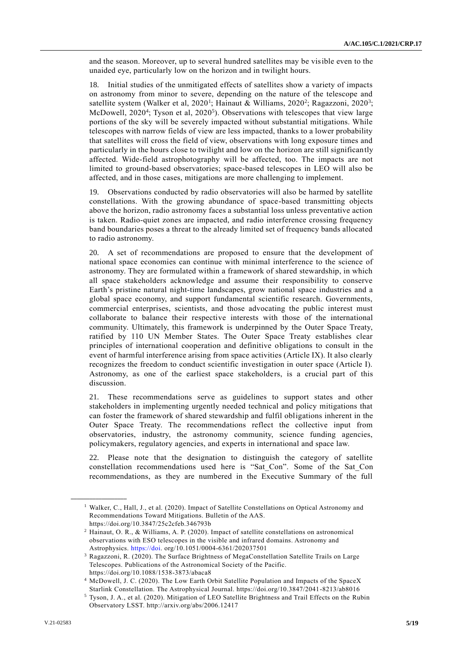and the season. Moreover, up to several hundred satellites may be visible even to the unaided eye, particularly low on the horizon and in twilight hours.

18. Initial studies of the unmitigated effects of satellites show a variety of impacts on astronomy from minor to severe, depending on the nature of the telescope and satellite system (Walker et al, 2020<sup>1</sup>; Hainaut & Williams, 2020<sup>2</sup>; Ragazzoni, 2020<sup>3</sup>; McDowell, 2020<sup>4</sup>; Tyson et al, 2020<sup>5</sup>). Observations with telescopes that view large portions of the sky will be severely impacted without substantial mitigations. While telescopes with narrow fields of view are less impacted, thanks to a lower probability that satellites will cross the field of view, observations with long exposure times and particularly in the hours close to twilight and low on the horizon are still significantly affected. Wide-field astrophotography will be affected, too. The impacts are not limited to ground-based observatories; space-based telescopes in LEO will also be affected, and in those cases, mitigations are more challenging to implement.

19. Observations conducted by radio observatories will also be harmed by satellite constellations. With the growing abundance of space-based transmitting objects above the horizon, radio astronomy faces a substantial loss unless preventative action is taken. Radio-quiet zones are impacted, and radio interference crossing frequency band boundaries poses a threat to the already limited set of frequency bands allocated to radio astronomy.

20. A set of recommendations are proposed to ensure that the development of national space economies can continue with minimal interference to the science of astronomy. They are formulated within a framework of shared stewardship, in which all space stakeholders acknowledge and assume their responsibility to conserve Earth's pristine natural night-time landscapes, grow national space industries and a global space economy, and support fundamental scientific research. Governments, commercial enterprises, scientists, and those advocating the public interest must collaborate to balance their respective interests with those of the international community. Ultimately, this framework is underpinned by the Outer Space Treaty, ratified by 110 UN Member States. The Outer Space Treaty establishes clear principles of international cooperation and definitive obligations to consult in the event of harmful interference arising from space activities (Article IX). It also clearly recognizes the freedom to conduct scientific investigation in outer space (Article I). Astronomy, as one of the earliest space stakeholders, is a crucial part of this discussion.

21. These recommendations serve as guidelines to support states and other stakeholders in implementing urgently needed technical and policy mitigations that can foster the framework of shared stewardship and fulfil obligations inherent in the Outer Space Treaty. The recommendations reflect the collective input from observatories, industry, the astronomy community, science funding agencies, policymakers, regulatory agencies, and experts in international and space law.

22. Please note that the designation to distinguish the category of satellite constellation recommendations used here is "Sat\_Con". Some of the Sat\_Con recommendations, as they are numbered in the Executive Summary of the full

**\_\_\_\_\_\_\_\_\_\_\_\_\_\_\_\_\_\_**

<sup>&</sup>lt;sup>1</sup> Walker, C., Hall, J., et al. (2020). Impact of Satellite Constellations on Optical Astronomy and Recommendations Toward Mitigations. Bulletin of the AAS.

https://doi.org/10.3847/25c2cfeb.346793b

<sup>2</sup> Hainaut, O. R., & Williams, A. P. (2020). Impact of satellite constellations on astronomical observations with ESO telescopes in the visible and infrared domains. Astronomy and Astrophysics. [https://doi.](https://doi/) org/10.1051/0004-6361/202037501

<sup>3</sup> Ragazzoni, R. (2020). The Surface Brightness of MegaConstellation Satellite Trails on Large Telescopes. Publications of the Astronomical Society of the Pacific. https://doi.org/10.1088/1538-3873/abaca8

<sup>4</sup> McDowell, J. C. (2020). The Low Earth Orbit Satellite Population and Impacts of the SpaceX Starlink Constellation. The Astrophysical Journal. https://doi.org/10.3847/2041-8213/ab8016

<sup>5</sup> Tyson, J. A., et al. (2020). Mitigation of LEO Satellite Brightness and Trail Effects on the Rubin Observatory LSST. http://arxiv.org/abs/2006.12417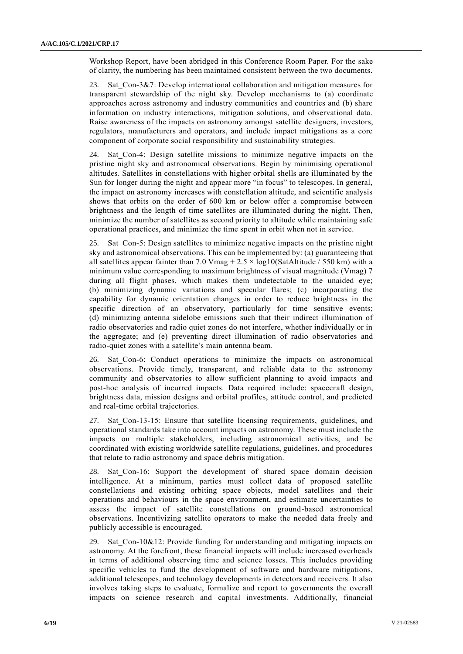Workshop Report, have been abridged in this Conference Room Paper. For the sake of clarity, the numbering has been maintained consistent between the two documents.

23. Sat\_Con-3&7: Develop international collaboration and mitigation measures for transparent stewardship of the night sky. Develop mechanisms to (a) coordinate approaches across astronomy and industry communities and countries and (b) share information on industry interactions, mitigation solutions, and observational data. Raise awareness of the impacts on astronomy amongst satellite designers, investors, regulators, manufacturers and operators, and include impact mitigations as a core component of corporate social responsibility and sustainability strategies.

Sat Con-4: Design satellite missions to minimize negative impacts on the pristine night sky and astronomical observations. Begin by minimising operational altitudes. Satellites in constellations with higher orbital shells are illuminated by the Sun for longer during the night and appear more "in focus" to telescopes. In general, the impact on astronomy increases with constellation altitude, and scientific analysis shows that orbits on the order of 600 km or below offer a compromise between brightness and the length of time satellites are illuminated during the night. Then, minimize the number of satellites as second priority to altitude while maintaining safe operational practices, and minimize the time spent in orbit when not in service.

25. Sat\_Con-5: Design satellites to minimize negative impacts on the pristine night sky and astronomical observations. This can be implemented by: (a) guaranteeing that all satellites appear fainter than 7.0 Vmag  $+ 2.5 \times \log 10$  (SatAltitude / 550 km) with a minimum value corresponding to maximum brightness of visual magnitude (Vmag) 7 during all flight phases, which makes them undetectable to the unaided eye; (b) minimizing dynamic variations and specular flares; (c) incorporating the capability for dynamic orientation changes in order to reduce brightness in the specific direction of an observatory, particularly for time sensitive events; (d) minimizing antenna sidelobe emissions such that their indirect illumination of radio observatories and radio quiet zones do not interfere, whether individually or in the aggregate; and (e) preventing direct illumination of radio observatories and radio-quiet zones with a satellite's main antenna beam.

26. Sat\_Con-6: Conduct operations to minimize the impacts on astronomical observations. Provide timely, transparent, and reliable data to the astronomy community and observatories to allow sufficient planning to avoid impacts and post-hoc analysis of incurred impacts. Data required include: spacecraft design, brightness data, mission designs and orbital profiles, attitude control, and predicted and real-time orbital trajectories.

27. Sat Con-13-15: Ensure that satellite licensing requirements, guidelines, and operational standards take into account impacts on astronomy. These must include the impacts on multiple stakeholders, including astronomical activities, and be coordinated with existing worldwide satellite regulations, guidelines, and procedures that relate to radio astronomy and space debris mitigation.

28. Sat Con-16: Support the development of shared space domain decision intelligence. At a minimum, parties must collect data of proposed satellite constellations and existing orbiting space objects, model satellites and their operations and behaviours in the space environment, and estimate uncertainties to assess the impact of satellite constellations on ground-based astronomical observations. Incentivizing satellite operators to make the needed data freely and publicly accessible is encouraged.

29. Sat Con-10&12: Provide funding for understanding and mitigating impacts on astronomy. At the forefront, these financial impacts will include increased overheads in terms of additional observing time and science losses. This includes providing specific vehicles to fund the development of software and hardware mitigations, additional telescopes, and technology developments in detectors and receivers. It also involves taking steps to evaluate, formalize and report to governments the overall impacts on science research and capital investments. Additionally, financial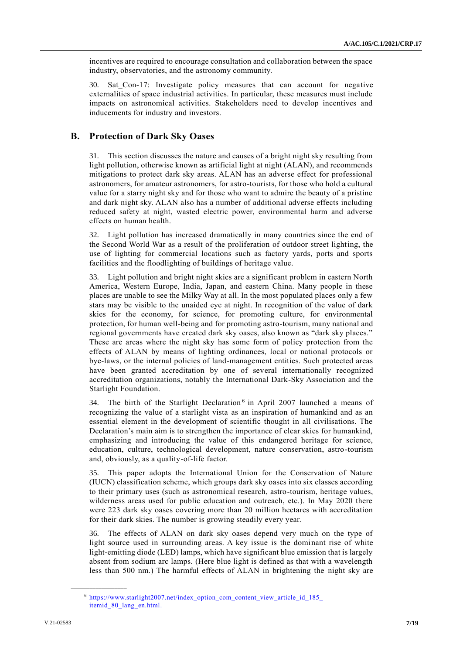incentives are required to encourage consultation and collaboration between the space industry, observatories, and the astronomy community.

30. Sat\_Con-17: Investigate policy measures that can account for negative externalities of space industrial activities. In particular, these measures must include impacts on astronomical activities. Stakeholders need to develop incentives and inducements for industry and investors.

## **B. Protection of Dark Sky Oases**

31. This section discusses the nature and causes of a bright night sky resulting from light pollution, otherwise known as artificial light at night (ALAN), and recommends mitigations to protect dark sky areas. ALAN has an adverse effect for professional astronomers, for amateur astronomers, for astro-tourists, for those who hold a cultural value for a starry night sky and for those who want to admire the beauty of a pristine and dark night sky. ALAN also has a number of additional adverse effects including reduced safety at night, wasted electric power, environmental harm and adverse effects on human health.

32. Light pollution has increased dramatically in many countries since the end of the Second World War as a result of the proliferation of outdoor street lighting, the use of lighting for commercial locations such as factory yards, ports and sports facilities and the floodlighting of buildings of heritage value.

33. Light pollution and bright night skies are a significant problem in eastern North America, Western Europe, India, Japan, and eastern China. Many people in these places are unable to see the Milky Way at all. In the most populated places only a few stars may be visible to the unaided eye at night. In recognition of the value of dark skies for the economy, for science, for promoting culture, for environmental protection, for human well-being and for promoting astro-tourism, many national and regional governments have created dark sky oases, also known as "dark sky places." These are areas where the night sky has some form of policy protection from the effects of ALAN by means of lighting ordinances, local or national protocols or bye-laws, or the internal policies of land-management entities. Such protected areas have been granted accreditation by one of several internationally recognized accreditation organizations, notably the International Dark-Sky Association and the Starlight Foundation.

34. The birth of the Starlight Declaration<sup>6</sup> in April 2007 launched a means of recognizing the value of a starlight vista as an inspiration of humankind and as an essential element in the development of scientific thought in all civilisations. The Declaration's main aim is to strengthen the importance of clear skies for humankind, emphasizing and introducing the value of this endangered heritage for science, education, culture, technological development, nature conservation, astro-tourism and, obviously, as a quality-of-life factor.

35. This paper adopts the International Union for the Conservation of Nature (IUCN) classification scheme, which groups dark sky oases into six classes according to their primary uses (such as astronomical research, astro-tourism, heritage values, wilderness areas used for public education and outreach, etc.). In May 2020 there were 223 dark sky oases covering more than 20 million hectares with accreditation for their dark skies. The number is growing steadily every year.

36. The effects of ALAN on dark sky oases depend very much on the type of light source used in surrounding areas. A key issue is the dominant rise of white light-emitting diode (LED) lamps, which have significant blue emission that is largely absent from sodium arc lamps. (Here blue light is defined as that with a wavelength less than 500 nm.) The harmful effects of ALAN in brightening the night sky are

**\_\_\_\_\_\_\_\_\_\_\_\_\_\_\_\_\_\_**

<sup>6</sup> [https://www.starlight2007.net/index\\_option\\_com\\_content\\_view\\_article\\_id\\_185\\_](https://www.starlight2007.net/index_option_com_content_view_article_id_185_itemid_80_lang_en.html) itemid 80 lang en.html.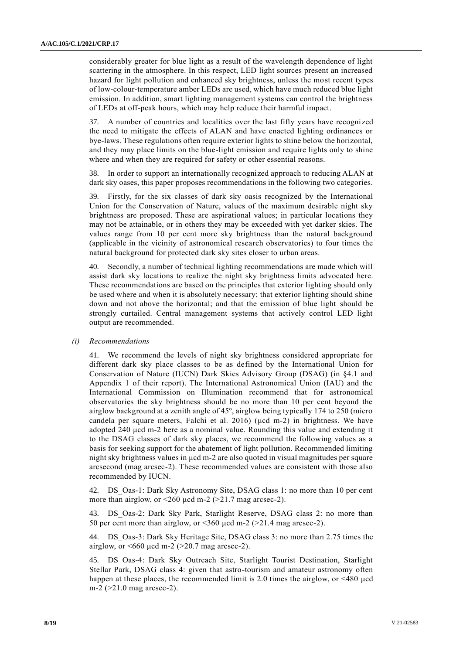considerably greater for blue light as a result of the wavelength dependence of light scattering in the atmosphere. In this respect, LED light sources present an increased hazard for light pollution and enhanced sky brightness, unless the most recent types of low-colour-temperature amber LEDs are used, which have much reduced blue light emission. In addition, smart lighting management systems can control the brightness of LEDs at off-peak hours, which may help reduce their harmful impact.

37. A number of countries and localities over the last fifty years have recognized the need to mitigate the effects of ALAN and have enacted lighting ordinances or bye-laws. These regulations often require exterior lights to shine below the horizontal, and they may place limits on the blue-light emission and require lights only to shine where and when they are required for safety or other essential reasons.

38. In order to support an internationally recognized approach to reducing ALAN at dark sky oases, this paper proposes recommendations in the following two categories.

39. Firstly, for the six classes of dark sky oasis recognized by the International Union for the Conservation of Nature, values of the maximum desirable night sky brightness are proposed. These are aspirational values; in particular locations they may not be attainable, or in others they may be exceeded with yet darker skies. The values range from 10 per cent more sky brightness than the natural background (applicable in the vicinity of astronomical research observatories) to four times the natural background for protected dark sky sites closer to urban areas.

40. Secondly, a number of technical lighting recommendations are made which will assist dark sky locations to realize the night sky brightness limits advocated here. These recommendations are based on the principles that exterior lighting should only be used where and when it is absolutely necessary; that exterior lighting should shine down and not above the horizontal; and that the emission of blue light should be strongly curtailed. Central management systems that actively control LED light output are recommended.

#### *(i) Recommendations*

41. We recommend the levels of night sky brightness considered appropriate for different dark sky place classes to be as defined by the International Union for Conservation of Nature (IUCN) Dark Skies Advisory Group (DSAG) (in §4.1 and Appendix 1 of their report). The International Astronomical Union (IAU) and the International Commission on Illumination recommend that for astronomical observatories the sky brightness should be no more than 10 per cent beyond the airglow background at a zenith angle of 45º, airglow being typically 174 to 250 (micro candela per square meters, Falchi et al. 2016) (μcd m-2) in brightness. We have adopted 240 μcd m-2 here as a nominal value. Rounding this value and extending it to the DSAG classes of dark sky places, we recommend the following values as a basis for seeking support for the abatement of light pollution. Recommended limiting night sky brightness values in μcd m-2 are also quoted in visual magnitudes per square arcsecond (mag arcsec-2). These recommended values are consistent with those also recommended by IUCN.

42. DS\_Oas-1: Dark Sky Astronomy Site, DSAG class 1: no more than 10 per cent more than airglow, or  $\leq 260$  ucd m-2 ( $\geq 21.7$  mag arcsec-2).

43. DS\_Oas-2: Dark Sky Park, Starlight Reserve, DSAG class 2: no more than 50 per cent more than airglow, or  $<360$   $\mu$ cd m-2 ( $>21.4$  mag arcsec-2).

44. DS\_Oas-3: Dark Sky Heritage Site, DSAG class 3: no more than 2.75 times the airglow, or  $\leq 660$  µcd m-2 ( $\geq 20.7$  mag arcsec-2).

45. DS\_Oas-4: Dark Sky Outreach Site, Starlight Tourist Destination, Starlight Stellar Park, DSAG class 4: given that astro-tourism and amateur astronomy often happen at these places, the recommended limit is 2.0 times the airglow, or <480 μcd m-2 (>21.0 mag arcsec-2).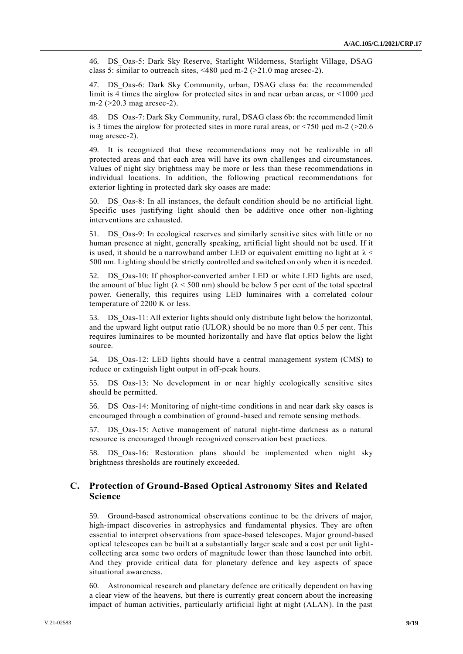46. DS\_Oas-5: Dark Sky Reserve, Starlight Wilderness, Starlight Village, DSAG class 5: similar to outreach sites, <480 μcd m-2 (>21.0 mag arcsec-2).

47. DS\_Oas-6: Dark Sky Community, urban, DSAG class 6a: the recommended limit is 4 times the airglow for protected sites in and near urban areas, or <1000 μcd m-2 (>20.3 mag arcsec-2).

48. DS\_Oas-7: Dark Sky Community, rural, DSAG class 6b: the recommended limit is 3 times the airglow for protected sites in more rural areas, or  $\langle 750 \text{ } \mu \text{d} \text{ } m-2 \rangle$  (>20.6) mag arcsec-2).

49. It is recognized that these recommendations may not be realizable in all protected areas and that each area will have its own challenges and circumstances. Values of night sky brightness may be more or less than these recommendations in individual locations. In addition, the following practical recommendations for exterior lighting in protected dark sky oases are made:

50. DS\_Oas-8: In all instances, the default condition should be no artificial light. Specific uses justifying light should then be additive once other non-lighting interventions are exhausted.

51. DS\_Oas-9: In ecological reserves and similarly sensitive sites with little or no human presence at night, generally speaking, artificial light should not be used. If it is used, it should be a narrowband amber LED or equivalent emitting no light at  $\lambda$  < 500 nm. Lighting should be strictly controlled and switched on only when it is needed.

52. DS\_Oas-10: If phosphor-converted amber LED or white LED lights are used, the amount of blue light ( $\lambda$  < 500 nm) should be below 5 per cent of the total spectral power. Generally, this requires using LED luminaires with a correlated colour temperature of 2200 K or less.

53. DS\_Oas-11: All exterior lights should only distribute light below the horizontal, and the upward light output ratio (ULOR) should be no more than 0.5 per cent. This requires luminaires to be mounted horizontally and have flat optics below the light source.

54. DS Oas-12: LED lights should have a central management system (CMS) to reduce or extinguish light output in off-peak hours.

55. DS\_Oas-13: No development in or near highly ecologically sensitive sites should be permitted.

56. DS\_Oas-14: Monitoring of night-time conditions in and near dark sky oases is encouraged through a combination of ground-based and remote sensing methods.

57. DS\_Oas-15: Active management of natural night-time darkness as a natural resource is encouraged through recognized conservation best practices.

58. DS\_Oas-16: Restoration plans should be implemented when night sky brightness thresholds are routinely exceeded.

## **C. Protection of Ground-Based Optical Astronomy Sites and Related Science**

59. Ground-based astronomical observations continue to be the drivers of major, high-impact discoveries in astrophysics and fundamental physics. They are often essential to interpret observations from space-based telescopes. Major ground-based optical telescopes can be built at a substantially larger scale and a cost per unit lightcollecting area some two orders of magnitude lower than those launched into orbit. And they provide critical data for planetary defence and key aspects of space situational awareness.

60. Astronomical research and planetary defence are critically dependent on having a clear view of the heavens, but there is currently great concern about the increasing impact of human activities, particularly artificial light at night (ALAN). In the past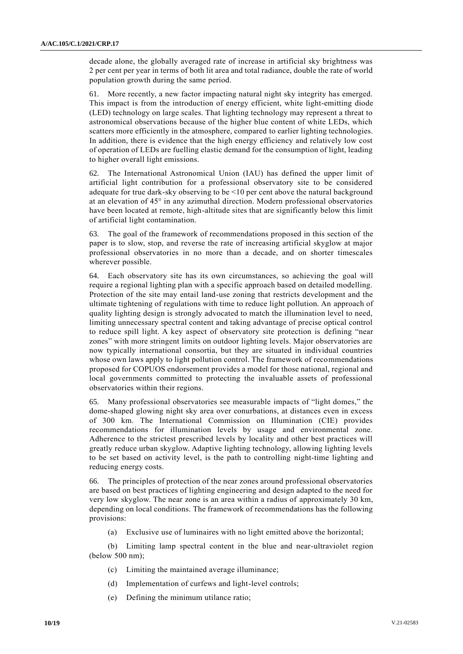decade alone, the globally averaged rate of increase in artificial sky brightness was 2 per cent per year in terms of both lit area and total radiance, double the rate of world population growth during the same period.

61. More recently, a new factor impacting natural night sky integrity has emerged. This impact is from the introduction of energy efficient, white light-emitting diode (LED) technology on large scales. That lighting technology may represent a threat to astronomical observations because of the higher blue content of white LEDs, which scatters more efficiently in the atmosphere, compared to earlier lighting technologies. In addition, there is evidence that the high energy efficiency and relatively low cost of operation of LEDs are fuelling elastic demand for the consumption of light, leading to higher overall light emissions.

62. The International Astronomical Union (IAU) has defined the upper limit of artificial light contribution for a professional observatory site to be considered adequate for true dark-sky observing to be <10 per cent above the natural background at an elevation of 45° in any azimuthal direction. Modern professional observatories have been located at remote, high-altitude sites that are significantly below this limit of artificial light contamination.

63. The goal of the framework of recommendations proposed in this section of the paper is to slow, stop, and reverse the rate of increasing artificial skyglow at major professional observatories in no more than a decade, and on shorter timescales wherever possible.

64. Each observatory site has its own circumstances, so achieving the goal will require a regional lighting plan with a specific approach based on detailed modelling. Protection of the site may entail land-use zoning that restricts development and the ultimate tightening of regulations with time to reduce light pollution. An approach of quality lighting design is strongly advocated to match the illumination level to need, limiting unnecessary spectral content and taking advantage of precise optical control to reduce spill light. A key aspect of observatory site protection is defining "near zones" with more stringent limits on outdoor lighting levels. Major observatories are now typically international consortia, but they are situated in individual countries whose own laws apply to light pollution control. The framework of recommendations proposed for COPUOS endorsement provides a model for those national, regional and local governments committed to protecting the invaluable assets of professional observatories within their regions.

65. Many professional observatories see measurable impacts of "light domes," the dome-shaped glowing night sky area over conurbations, at distances even in excess of 300 km. The International Commission on Illumination (CIE) provides recommendations for illumination levels by usage and environmental zone. Adherence to the strictest prescribed levels by locality and other best practices will greatly reduce urban skyglow. Adaptive lighting technology, allowing lighting levels to be set based on activity level, is the path to controlling night-time lighting and reducing energy costs.

66. The principles of protection of the near zones around professional observatories are based on best practices of lighting engineering and design adapted to the need for very low skyglow. The near zone is an area within a radius of approximately 30 km, depending on local conditions. The framework of recommendations has the following provisions:

(a) Exclusive use of luminaires with no light emitted above the horizontal;

(b) Limiting lamp spectral content in the blue and near-ultraviolet region (below 500 nm);

- (c) Limiting the maintained average illuminance;
- (d) Implementation of curfews and light-level controls;
- (e) Defining the minimum utilance ratio;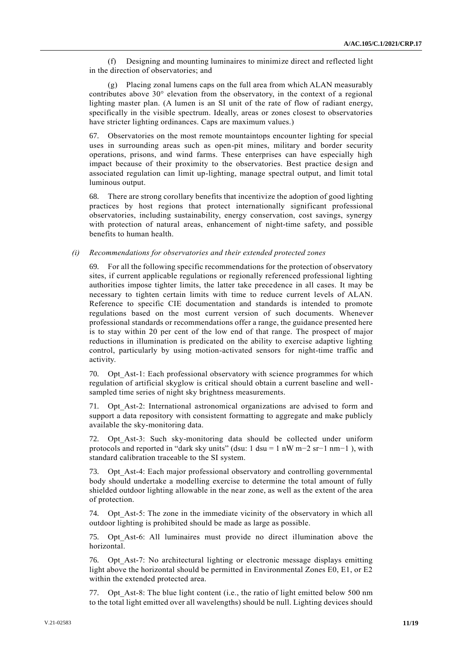(f) Designing and mounting luminaires to minimize direct and reflected light in the direction of observatories; and

(g) Placing zonal lumens caps on the full area from which ALAN measurably contributes above 30° elevation from the observatory, in the context of a regional lighting master plan. (A lumen is an SI unit of the rate of flow of radiant energy, specifically in the visible spectrum. Ideally, areas or zones closest to observatories have stricter lighting ordinances. Caps are maximum values.)

67. Observatories on the most remote mountaintops encounter lighting for special uses in surrounding areas such as open-pit mines, military and border security operations, prisons, and wind farms. These enterprises can have especially high impact because of their proximity to the observatories. Best practice design and associated regulation can limit up-lighting, manage spectral output, and limit total luminous output.

68. There are strong corollary benefits that incentivize the adoption of good lighting practices by host regions that protect internationally significant professional observatories, including sustainability, energy conservation, cost savings, synergy with protection of natural areas, enhancement of night-time safety, and possible benefits to human health.

#### *(i) Recommendations for observatories and their extended protected zones*

69. For all the following specific recommendations for the protection of observatory sites, if current applicable regulations or regionally referenced professional lighting authorities impose tighter limits, the latter take precedence in all cases. It may be necessary to tighten certain limits with time to reduce current levels of ALAN. Reference to specific CIE documentation and standards is intended to promote regulations based on the most current version of such documents. Whenever professional standards or recommendations offer a range, the guidance presented here is to stay within 20 per cent of the low end of that range. The prospect of major reductions in illumination is predicated on the ability to exercise adaptive lighting control, particularly by using motion-activated sensors for night-time traffic and activity.

70. Opt\_Ast-1: Each professional observatory with science programmes for which regulation of artificial skyglow is critical should obtain a current baseline and wellsampled time series of night sky brightness measurements.

71. Opt\_Ast-2: International astronomical organizations are advised to form and support a data repository with consistent formatting to aggregate and make publicly available the sky-monitoring data.

72. Opt Ast-3: Such sky-monitoring data should be collected under uniform protocols and reported in "dark sky units" (dsu: 1 dsu = 1 nW m−2 sr−1 nm−1 ), with standard calibration traceable to the SI system.

73. Opt Ast-4: Each major professional observatory and controlling governmental body should undertake a modelling exercise to determine the total amount of fully shielded outdoor lighting allowable in the near zone, as well as the extent of the area of protection.

74. Opt\_Ast-5: The zone in the immediate vicinity of the observatory in which all outdoor lighting is prohibited should be made as large as possible.

75. Opt\_Ast-6: All luminaires must provide no direct illumination above the horizontal.

76. Opt\_Ast-7: No architectural lighting or electronic message displays emitting light above the horizontal should be permitted in Environmental Zones E0, E1, or E2 within the extended protected area.

77. Opt\_Ast-8: The blue light content (i.e., the ratio of light emitted below 500 nm to the total light emitted over all wavelengths) should be null. Lighting devices should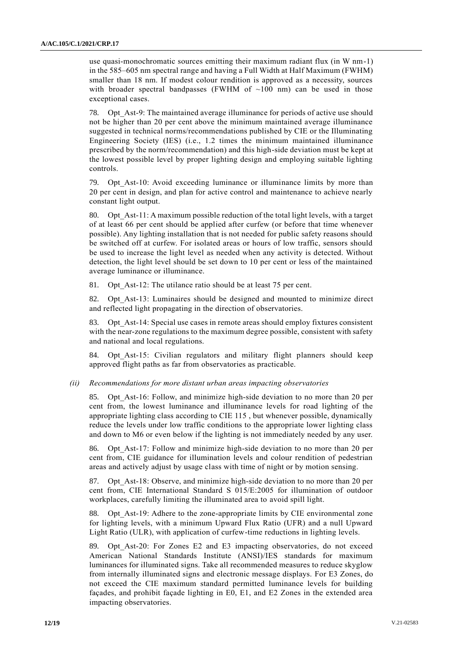use quasi-monochromatic sources emitting their maximum radiant flux (in W nm-1) in the 585–605 nm spectral range and having a Full Width at Half Maximum (FWHM) smaller than 18 nm. If modest colour rendition is approved as a necessity, sources with broader spectral bandpasses (FWHM of  $~100$  nm) can be used in those exceptional cases.

78. Opt\_Ast-9: The maintained average illuminance for periods of active use should not be higher than 20 per cent above the minimum maintained average illuminance suggested in technical norms/recommendations published by CIE or the Illuminating Engineering Society (IES) (i.e., 1.2 times the minimum maintained illuminance prescribed by the norm/recommendation) and this high-side deviation must be kept at the lowest possible level by proper lighting design and employing suitable lighting controls.

79. Opt\_Ast-10: Avoid exceeding luminance or illuminance limits by more than 20 per cent in design, and plan for active control and maintenance to achieve nearly constant light output.

80. Opt\_Ast-11: A maximum possible reduction of the total light levels, with a target of at least 66 per cent should be applied after curfew (or before that time whenever possible). Any lighting installation that is not needed for public safety reasons should be switched off at curfew. For isolated areas or hours of low traffic, sensors should be used to increase the light level as needed when any activity is detected. Without detection, the light level should be set down to 10 per cent or less of the maintained average luminance or illuminance.

81. Opt Ast-12: The utilance ratio should be at least 75 per cent.

82. Opt\_Ast-13: Luminaires should be designed and mounted to minimize direct and reflected light propagating in the direction of observatories.

83. Opt\_Ast-14: Special use cases in remote areas should employ fixtures consistent with the near-zone regulations to the maximum degree possible, consistent with safety and national and local regulations.

84. Opt Ast-15: Civilian regulators and military flight planners should keep approved flight paths as far from observatories as practicable.

#### *(ii) Recommendations for more distant urban areas impacting observatories*

85. Opt\_Ast-16: Follow, and minimize high-side deviation to no more than 20 per cent from, the lowest luminance and illuminance levels for road lighting of the appropriate lighting class according to CIE 115 , but whenever possible, dynamically reduce the levels under low traffic conditions to the appropriate lower lighting class and down to M6 or even below if the lighting is not immediately needed by any user.

86. Opt\_Ast-17: Follow and minimize high-side deviation to no more than 20 per cent from, CIE guidance for illumination levels and colour rendition of pedestrian areas and actively adjust by usage class with time of night or by motion sensing.

87. Opt\_Ast-18: Observe, and minimize high-side deviation to no more than 20 per cent from, CIE International Standard S 015/E:2005 for illumination of outdoor workplaces, carefully limiting the illuminated area to avoid spill light.

88. Opt\_Ast-19: Adhere to the zone-appropriate limits by CIE environmental zone for lighting levels, with a minimum Upward Flux Ratio (UFR) and a null Upward Light Ratio (ULR), with application of curfew-time reductions in lighting levels.

89. Opt\_Ast-20: For Zones E2 and E3 impacting observatories, do not exceed American National Standards Institute (ANSI)/IES standards for maximum luminances for illuminated signs. Take all recommended measures to reduce skyglow from internally illuminated signs and electronic message displays. For E3 Zones, do not exceed the CIE maximum standard permitted luminance levels for building façades, and prohibit façade lighting in E0, E1, and E2 Zones in the extended area impacting observatories.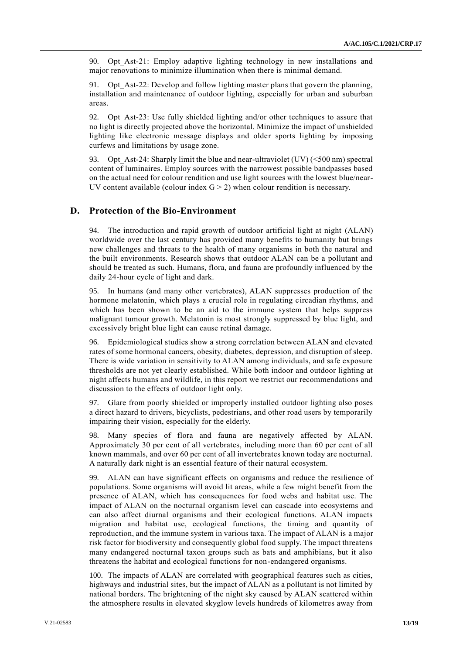90. Opt\_Ast-21: Employ adaptive lighting technology in new installations and major renovations to minimize illumination when there is minimal demand.

91. Opt\_Ast-22: Develop and follow lighting master plans that govern the planning, installation and maintenance of outdoor lighting, especially for urban and suburban areas.

92. Opt\_Ast-23: Use fully shielded lighting and/or other techniques to assure that no light is directly projected above the horizontal. Minimize the impact of unshielded lighting like electronic message displays and older sports lighting by imposing curfews and limitations by usage zone.

93. Opt Ast-24: Sharply limit the blue and near-ultraviolet (UV)  $(<500 \text{ nm})$  spectral content of luminaires. Employ sources with the narrowest possible bandpasses based on the actual need for colour rendition and use light sources with the lowest blue/near-UV content available (colour index  $G > 2$ ) when colour rendition is necessary.

### **D. Protection of the Bio-Environment**

94. The introduction and rapid growth of outdoor artificial light at night (ALAN) worldwide over the last century has provided many benefits to humanity but brings new challenges and threats to the health of many organisms in both the natural and the built environments. Research shows that outdoor ALAN can be a pollutant and should be treated as such. Humans, flora, and fauna are profoundly influenced by the daily 24-hour cycle of light and dark.

95. In humans (and many other vertebrates), ALAN suppresses production of the hormone melatonin, which plays a crucial role in regulating circadian rhythms, and which has been shown to be an aid to the immune system that helps suppress malignant tumour growth. Melatonin is most strongly suppressed by blue light, and excessively bright blue light can cause retinal damage.

96. Epidemiological studies show a strong correlation between ALAN and elevated rates of some hormonal cancers, obesity, diabetes, depression, and disruption of sleep. There is wide variation in sensitivity to ALAN among individuals, and safe exposure thresholds are not yet clearly established. While both indoor and outdoor lighting at night affects humans and wildlife, in this report we restrict our recommendations and discussion to the effects of outdoor light only.

97. Glare from poorly shielded or improperly installed outdoor lighting also poses a direct hazard to drivers, bicyclists, pedestrians, and other road users by temporarily impairing their vision, especially for the elderly.

98. Many species of flora and fauna are negatively affected by ALAN. Approximately 30 per cent of all vertebrates, including more than 60 per cent of all known mammals, and over 60 per cent of all invertebrates known today are nocturnal. A naturally dark night is an essential feature of their natural ecosystem.

99. ALAN can have significant effects on organisms and reduce the resilience of populations. Some organisms will avoid lit areas, while a few might benefit from the presence of ALAN, which has consequences for food webs and habitat use. The impact of ALAN on the nocturnal organism level can cascade into ecosystems and can also affect diurnal organisms and their ecological functions. ALAN impacts migration and habitat use, ecological functions, the timing and quantity of reproduction, and the immune system in various taxa. The impact of ALAN is a major risk factor for biodiversity and consequently global food supply. The impact threatens many endangered nocturnal taxon groups such as bats and amphibians, but it also threatens the habitat and ecological functions for non-endangered organisms.

100. The impacts of ALAN are correlated with geographical features such as cities, highways and industrial sites, but the impact of ALAN as a pollutant is not limited by national borders. The brightening of the night sky caused by ALAN scattered within the atmosphere results in elevated skyglow levels hundreds of kilometres away from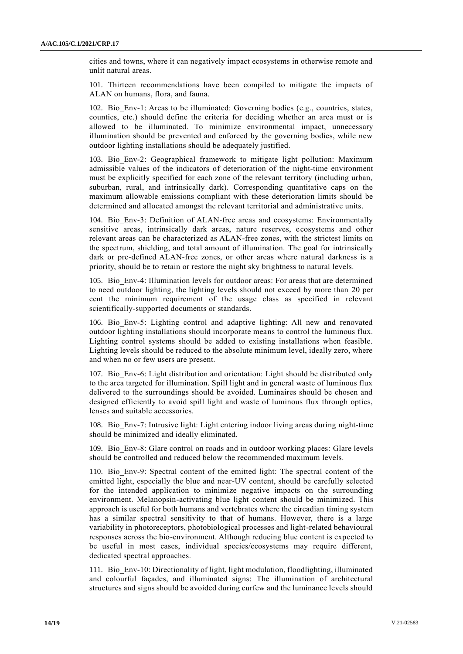cities and towns, where it can negatively impact ecosystems in otherwise remote and unlit natural areas.

101. Thirteen recommendations have been compiled to mitigate the impacts of ALAN on humans, flora, and fauna.

102. Bio\_Env-1: Areas to be illuminated: Governing bodies (e.g., countries, states, counties, etc.) should define the criteria for deciding whether an area must or is allowed to be illuminated. To minimize environmental impact, unnecessary illumination should be prevented and enforced by the governing bodies, while new outdoor lighting installations should be adequately justified.

103. Bio\_Env-2: Geographical framework to mitigate light pollution: Maximum admissible values of the indicators of deterioration of the night-time environment must be explicitly specified for each zone of the relevant territory (including urban, suburban, rural, and intrinsically dark). Corresponding quantitative caps on the maximum allowable emissions compliant with these deterioration limits should be determined and allocated amongst the relevant territorial and administrative units.

104. Bio\_Env-3: Definition of ALAN-free areas and ecosystems: Environmentally sensitive areas, intrinsically dark areas, nature reserves, ecosystems and other relevant areas can be characterized as ALAN-free zones, with the strictest limits on the spectrum, shielding, and total amount of illumination. The goal for intrinsically dark or pre-defined ALAN-free zones, or other areas where natural darkness is a priority, should be to retain or restore the night sky brightness to natural levels.

105. Bio\_Env-4: Illumination levels for outdoor areas: For areas that are determined to need outdoor lighting, the lighting levels should not exceed by more than 20 per cent the minimum requirement of the usage class as specified in relevant scientifically-supported documents or standards.

106. Bio\_Env-5: Lighting control and adaptive lighting: All new and renovated outdoor lighting installations should incorporate means to control the luminous flux. Lighting control systems should be added to existing installations when feasible. Lighting levels should be reduced to the absolute minimum level, ideally zero, where and when no or few users are present.

107. Bio\_Env-6: Light distribution and orientation: Light should be distributed only to the area targeted for illumination. Spill light and in general waste of luminous flux delivered to the surroundings should be avoided. Luminaires should be chosen and designed efficiently to avoid spill light and waste of luminous flux through optics, lenses and suitable accessories.

108. Bio\_Env-7: Intrusive light: Light entering indoor living areas during night-time should be minimized and ideally eliminated.

109. Bio\_Env-8: Glare control on roads and in outdoor working places: Glare levels should be controlled and reduced below the recommended maximum levels.

110. Bio\_Env-9: Spectral content of the emitted light: The spectral content of the emitted light, especially the blue and near-UV content, should be carefully selected for the intended application to minimize negative impacts on the surrounding environment. Melanopsin-activating blue light content should be minimized. This approach is useful for both humans and vertebrates where the circadian timing system has a similar spectral sensitivity to that of humans. However, there is a large variability in photoreceptors, photobiological processes and light-related behavioural responses across the bio-environment. Although reducing blue content is expected to be useful in most cases, individual species/ecosystems may require different, dedicated spectral approaches.

111. Bio\_Env-10: Directionality of light, light modulation, floodlighting, illuminated and colourful façades, and illuminated signs: The illumination of architectural structures and signs should be avoided during curfew and the luminance levels should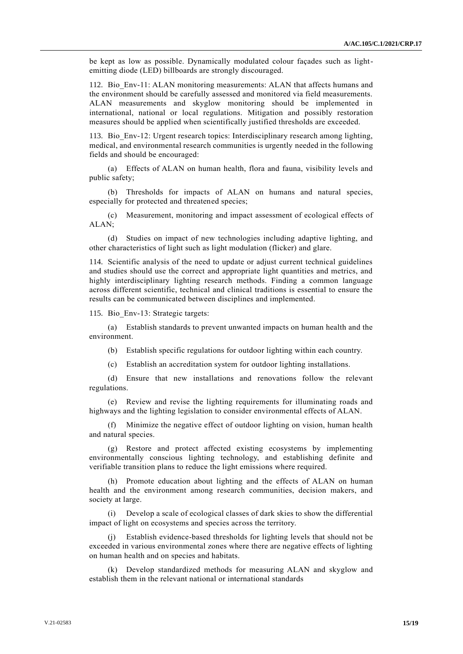be kept as low as possible. Dynamically modulated colour façades such as lightemitting diode (LED) billboards are strongly discouraged.

112. Bio\_Env-11: ALAN monitoring measurements: ALAN that affects humans and the environment should be carefully assessed and monitored via field measurements. ALAN measurements and skyglow monitoring should be implemented in international, national or local regulations. Mitigation and possibly restoration measures should be applied when scientifically justified thresholds are exceeded.

113. Bio\_Env-12: Urgent research topics: Interdisciplinary research among lighting, medical, and environmental research communities is urgently needed in the following fields and should be encouraged:

(a) Effects of ALAN on human health, flora and fauna, visibility levels and public safety;

(b) Thresholds for impacts of ALAN on humans and natural species, especially for protected and threatened species;

(c) Measurement, monitoring and impact assessment of ecological effects of ALAN;

(d) Studies on impact of new technologies including adaptive lighting, and other characteristics of light such as light modulation (flicker) and glare.

114. Scientific analysis of the need to update or adjust current technical guidelines and studies should use the correct and appropriate light quantities and metrics, and highly interdisciplinary lighting research methods. Finding a common language across different scientific, technical and clinical traditions is essential to ensure the results can be communicated between disciplines and implemented.

115. Bio\_Env-13: Strategic targets:

(a) Establish standards to prevent unwanted impacts on human health and the environment.

(b) Establish specific regulations for outdoor lighting within each country.

(c) Establish an accreditation system for outdoor lighting installations.

(d) Ensure that new installations and renovations follow the relevant regulations.

(e) Review and revise the lighting requirements for illuminating roads and highways and the lighting legislation to consider environmental effects of ALAN.

(f) Minimize the negative effect of outdoor lighting on vision, human health and natural species.

(g) Restore and protect affected existing ecosystems by implementing environmentally conscious lighting technology, and establishing definite and verifiable transition plans to reduce the light emissions where required.

(h) Promote education about lighting and the effects of ALAN on human health and the environment among research communities, decision makers, and society at large.

(i) Develop a scale of ecological classes of dark skies to show the differential impact of light on ecosystems and species across the territory.

(j) Establish evidence-based thresholds for lighting levels that should not be exceeded in various environmental zones where there are negative effects of lighting on human health and on species and habitats.

(k) Develop standardized methods for measuring ALAN and skyglow and establish them in the relevant national or international standards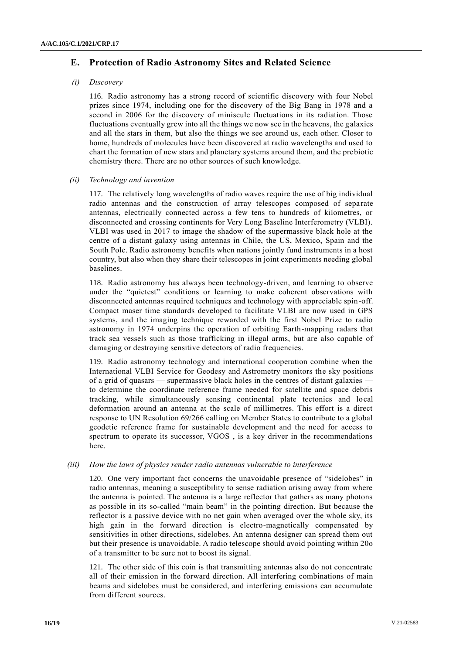## **E. Protection of Radio Astronomy Sites and Related Science**

#### *(i) Discovery*

116. Radio astronomy has a strong record of scientific discovery with four Nobel prizes since 1974, including one for the discovery of the Big Bang in 1978 and a second in 2006 for the discovery of miniscule fluctuations in its radiation. Those fluctuations eventually grew into all the things we now see in the heavens, the galaxies and all the stars in them, but also the things we see around us, each other. Closer to home, hundreds of molecules have been discovered at radio wavelengths and used to chart the formation of new stars and planetary systems around them, and the prebiotic chemistry there. There are no other sources of such knowledge.

#### *(ii) Technology and invention*

117. The relatively long wavelengths of radio waves require the use of big individual radio antennas and the construction of array telescopes composed of separate antennas, electrically connected across a few tens to hundreds of kilometres, or disconnected and crossing continents for Very Long Baseline Interferometry (VLBI). VLBI was used in 2017 to image the shadow of the supermassive black hole at the centre of a distant galaxy using antennas in Chile, the US, Mexico, Spain and the South Pole. Radio astronomy benefits when nations jointly fund instruments in a host country, but also when they share their telescopes in joint experiments needing global baselines.

118. Radio astronomy has always been technology-driven, and learning to observe under the "quietest" conditions or learning to make coherent observations with disconnected antennas required techniques and technology with appreciable spin-off. Compact maser time standards developed to facilitate VLBI are now used in GPS systems, and the imaging technique rewarded with the first Nobel Prize to radio astronomy in 1974 underpins the operation of orbiting Earth-mapping radars that track sea vessels such as those trafficking in illegal arms, but are also capable of damaging or destroying sensitive detectors of radio frequencies.

119. Radio astronomy technology and international cooperation combine when the International VLBI Service for Geodesy and Astrometry monitors the sky positions of a grid of quasars — supermassive black holes in the centres of distant galaxies to determine the coordinate reference frame needed for satellite and space debris tracking, while simultaneously sensing continental plate tectonics and local deformation around an antenna at the scale of millimetres. This effort is a direct response to UN Resolution 69/266 calling on Member States to contribute to a global geodetic reference frame for sustainable development and the need for access to spectrum to operate its successor, VGOS , is a key driver in the recommendations here.

#### *(iii) How the laws of physics render radio antennas vulnerable to interference*

120. One very important fact concerns the unavoidable presence of "sidelobes" in radio antennas, meaning a susceptibility to sense radiation arising away from where the antenna is pointed. The antenna is a large reflector that gathers as many photons as possible in its so-called "main beam" in the pointing direction. But because the reflector is a passive device with no net gain when averaged over the whole sky, its high gain in the forward direction is electro-magnetically compensated by sensitivities in other directions, sidelobes. An antenna designer can spread them out but their presence is unavoidable. A radio telescope should avoid pointing within 20o of a transmitter to be sure not to boost its signal.

121. The other side of this coin is that transmitting antennas also do not concentrate all of their emission in the forward direction. All interfering combinations of main beams and sidelobes must be considered, and interfering emissions can accumulate from different sources.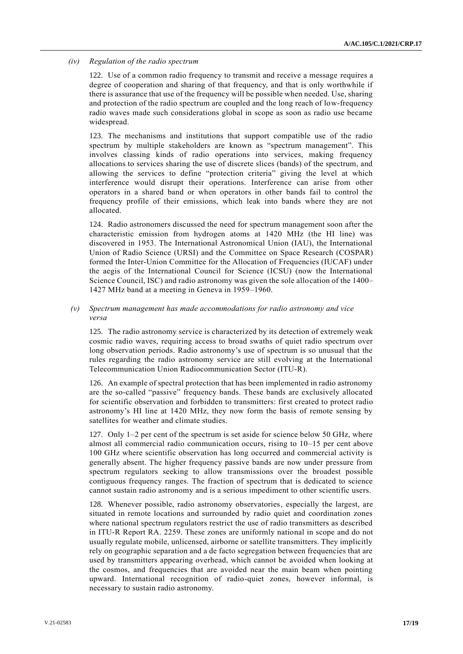#### *(iv) Regulation of the radio spectrum*

122. Use of a common radio frequency to transmit and receive a message requires a degree of cooperation and sharing of that frequency, and that is only worthwhile if there is assurance that use of the frequency will be possible when needed. Use, sharing and protection of the radio spectrum are coupled and the long reach of low-frequency radio waves made such considerations global in scope as soon as radio use became widespread.

123. The mechanisms and institutions that support compatible use of the radio spectrum by multiple stakeholders are known as "spectrum management". This involves classing kinds of radio operations into services, making frequency allocations to services sharing the use of discrete slices (bands) of the spectrum, and allowing the services to define "protection criteria" giving the level at which interference would disrupt their operations. Interference can arise from other operators in a shared band or when operators in other bands fail to control the frequency profile of their emissions, which leak into bands where they are not allocated.

124. Radio astronomers discussed the need for spectrum management soon after the characteristic emission from hydrogen atoms at 1420 MHz (the HI line) was discovered in 1953. The International Astronomical Union (IAU), the International Union of Radio Science (URSI) and the Committee on Space Research (COSPAR) formed the Inter-Union Committee for the Allocation of Frequencies (IUCAF) under the aegis of the International Council for Science (ICSU) (now the International Science Council, ISC) and radio astronomy was given the sole allocation of the 1400– 1427 MHz band at a meeting in Geneva in 1959–1960.

#### *(v) Spectrum management has made accommodations for radio astronomy and vice versa*

125. The radio astronomy service is characterized by its detection of extremely weak cosmic radio waves, requiring access to broad swaths of quiet radio spectrum over long observation periods. Radio astronomy's use of spectrum is so unusual that the rules regarding the radio astronomy service are still evolving at the International Telecommunication Union Radiocommunication Sector (ITU-R).

126. An example of spectral protection that has been implemented in radio astronomy are the so-called "passive" frequency bands. These bands are exclusively allocated for scientific observation and forbidden to transmitters: first created to protect radio astronomy's HI line at 1420 MHz, they now form the basis of remote sensing by satellites for weather and climate studies.

127. Only 1–2 per cent of the spectrum is set aside for science below 50 GHz, where almost all commercial radio communication occurs, rising to 10–15 per cent above 100 GHz where scientific observation has long occurred and commercial activity is generally absent. The higher frequency passive bands are now under pressure from spectrum regulators seeking to allow transmissions over the broadest possible contiguous frequency ranges. The fraction of spectrum that is dedicated to science cannot sustain radio astronomy and is a serious impediment to other scientific users.

128. Whenever possible, radio astronomy observatories, especially the largest, are situated in remote locations and surrounded by radio quiet and coordination zones where national spectrum regulators restrict the use of radio transmitters as described in ITU-R Report RA. 2259. These zones are uniformly national in scope and do not usually regulate mobile, unlicensed, airborne or satellite transmitters. They implicitly rely on geographic separation and a de facto segregation between frequencies that are used by transmitters appearing overhead, which cannot be avoided when looking at the cosmos, and frequencies that are avoided near the main beam when pointing upward. International recognition of radio-quiet zones, however informal, is necessary to sustain radio astronomy.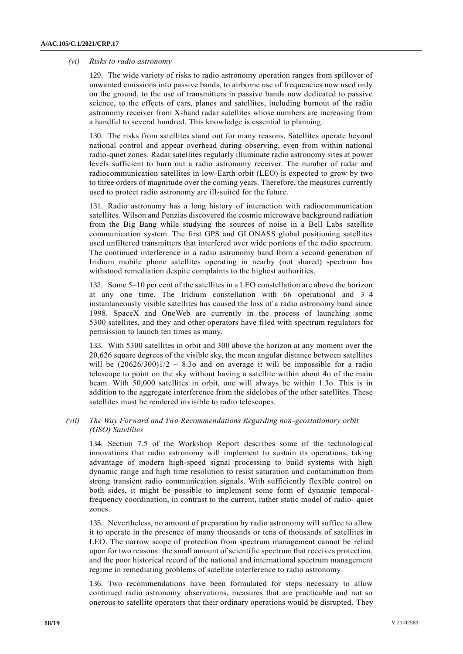#### *(vi) Risks to radio astronomy*

129. The wide variety of risks to radio astronomy operation ranges from spillover of unwanted emissions into passive bands, to airborne use of frequencies now used only on the ground, to the use of transmitters in passive bands now dedicated to passive science, to the effects of cars, planes and satellites, including burnout of the radio astronomy receiver from X-band radar satellites whose numbers are increasing from a handful to several hundred. This knowledge is essential to planning.

130. The risks from satellites stand out for many reasons. Satellites operate beyond national control and appear overhead during observing, even from within national radio-quiet zones. Radar satellites regularly illuminate radio astronomy sites at power levels sufficient to burn out a radio astronomy receiver. The number of radar and radiocommunication satellites in low-Earth orbit (LEO) is expected to grow by two to three orders of magnitude over the coming years. Therefore, the measures currently used to protect radio astronomy are ill-suited for the future.

131. Radio astronomy has a long history of interaction with radiocommunication satellites. Wilson and Penzias discovered the cosmic microwave background radiation from the Big Bang while studying the sources of noise in a Bell Labs satellite communication system. The first GPS and GLONASS global positioning satellites used unfiltered transmitters that interfered over wide portions of the radio spectrum. The continued interference in a radio astronomy band from a second generation of Iridium mobile phone satellites operating in nearby (not shared) spectrum has withstood remediation despite complaints to the highest authorities.

132. Some 5–10 per cent of the satellites in a LEO constellation are above the horizon at any one time. The Iridium constellation with 66 operational and 3–4 instantaneously visible satellites has caused the loss of a radio astronomy band since 1998. SpaceX and OneWeb are currently in the process of launching some 5300 satellites, and they and other operators have filed with spectrum regulators for permission to launch ten times as many.

133. With 5300 satellites in orbit and 300 above the horizon at any moment over the 20,626 square degrees of the visible sky, the mean angular distance between satellites will be  $(20626/300)1/2 \sim 8.3$ o and on average it will be impossible for a radio telescope to point on the sky without having a satellite within about 4o of the main beam. With 50,000 satellites in orbit, one will always be within 1.3o. This is in addition to the aggregate interference from the sidelobes of the other satellites. These satellites must be rendered invisible to radio telescopes.

#### *(vii) The Way Forward and Two Recommendations Regarding non-geostationary orbit (GSO) Satellites*

134. Section 7.5 of the Workshop Report describes some of the technological innovations that radio astronomy will implement to sustain its operations, taking advantage of modern high-speed signal processing to build systems with high dynamic range and high time resolution to resist saturation and contamination from strong transient radio communication signals. With sufficiently flexible control on both sides, it might be possible to implement some form of dynamic temporalfrequency coordination, in contrast to the current, rather static model of radio- quiet zones.

135. Nevertheless, no amount of preparation by radio astronomy will suffice to allow it to operate in the presence of many thousands or tens of thousands of satellites in LEO. The narrow scope of protection from spectrum management cannot be relied upon for two reasons: the small amount of scientific spectrum that receives protection, and the poor historical record of the national and international spectrum management regime in remediating problems of satellite interference to radio astronomy.

136. Two recommendations have been formulated for steps necessary to allow continued radio astronomy observations, measures that are practicable and not so onerous to satellite operators that their ordinary operations would be disrupted. They